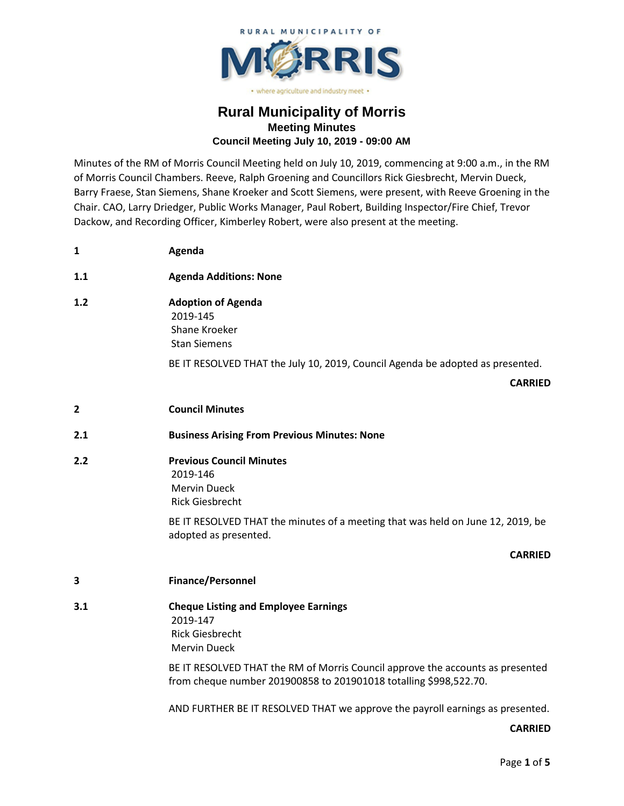

# **Rural Municipality of Morris Meeting Minutes Council Meeting July 10, 2019 - 09:00 AM**

Minutes of the RM of Morris Council Meeting held on July 10, 2019, commencing at 9:00 a.m., in the RM of Morris Council Chambers. Reeve, Ralph Groening and Councillors Rick Giesbrecht, Mervin Dueck, Barry Fraese, Stan Siemens, Shane Kroeker and Scott Siemens, were present, with Reeve Groening in the Chair. CAO, Larry Driedger, Public Works Manager, Paul Robert, Building Inspector/Fire Chief, Trevor Dackow, and Recording Officer, Kimberley Robert, were also present at the meeting.

- **1 Agenda**
- **1.1 Agenda Additions: None**
- **1.2 Adoption of Agenda** 2019-145 Shane Kroeker Stan Siemens

BE IT RESOLVED THAT the July 10, 2019, Council Agenda be adopted as presented.

#### **CARRIED**

- **2 Council Minutes**
- **2.1 Business Arising From Previous Minutes: None**
- **2.2 Previous Council Minutes** 2019-146 Mervin Dueck Rick Giesbrecht

BE IT RESOLVED THAT the minutes of a meeting that was held on June 12, 2019, be adopted as presented.

#### **CARRIED**

- **3 Finance/Personnel**
- **3.1 Cheque Listing and Employee Earnings** 2019-147 Rick Giesbrecht Mervin Dueck

BE IT RESOLVED THAT the RM of Morris Council approve the accounts as presented from cheque number 201900858 to 201901018 totalling \$998,522.70.

AND FURTHER BE IT RESOLVED THAT we approve the payroll earnings as presented.

#### **CARRIED**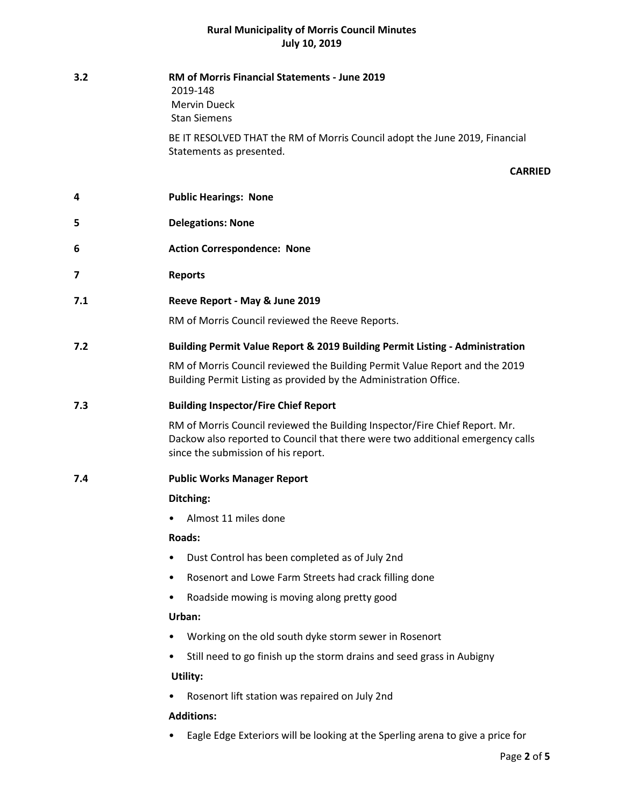| 3.2 | RM of Morris Financial Statements - June 2019<br>2019-148<br><b>Mervin Dueck</b><br><b>Stan Siemens</b>                                                                                              |  |  |
|-----|------------------------------------------------------------------------------------------------------------------------------------------------------------------------------------------------------|--|--|
|     | BE IT RESOLVED THAT the RM of Morris Council adopt the June 2019, Financial<br>Statements as presented.                                                                                              |  |  |
|     | <b>CARRIED</b>                                                                                                                                                                                       |  |  |
| 4   | <b>Public Hearings: None</b>                                                                                                                                                                         |  |  |
| 5   | <b>Delegations: None</b>                                                                                                                                                                             |  |  |
| 6   | <b>Action Correspondence: None</b>                                                                                                                                                                   |  |  |
| 7   | <b>Reports</b>                                                                                                                                                                                       |  |  |
| 7.1 | Reeve Report - May & June 2019                                                                                                                                                                       |  |  |
|     | RM of Morris Council reviewed the Reeve Reports.                                                                                                                                                     |  |  |
| 7.2 | Building Permit Value Report & 2019 Building Permit Listing - Administration                                                                                                                         |  |  |
|     | RM of Morris Council reviewed the Building Permit Value Report and the 2019<br>Building Permit Listing as provided by the Administration Office.                                                     |  |  |
| 7.3 | <b>Building Inspector/Fire Chief Report</b>                                                                                                                                                          |  |  |
|     | RM of Morris Council reviewed the Building Inspector/Fire Chief Report. Mr.<br>Dackow also reported to Council that there were two additional emergency calls<br>since the submission of his report. |  |  |
| 7.4 | <b>Public Works Manager Report</b>                                                                                                                                                                   |  |  |
|     | Ditching:                                                                                                                                                                                            |  |  |
|     | Almost 11 miles done<br>٠                                                                                                                                                                            |  |  |
|     | Roads:                                                                                                                                                                                               |  |  |
|     | Dust Control has been completed as of July 2nd<br>٠                                                                                                                                                  |  |  |
|     | Rosenort and Lowe Farm Streets had crack filling done<br>$\bullet$                                                                                                                                   |  |  |
|     | Roadside mowing is moving along pretty good<br>٠                                                                                                                                                     |  |  |
|     | Urban:                                                                                                                                                                                               |  |  |
|     | Working on the old south dyke storm sewer in Rosenort<br>٠                                                                                                                                           |  |  |
|     | Still need to go finish up the storm drains and seed grass in Aubigny<br>$\bullet$                                                                                                                   |  |  |
|     | Utility:                                                                                                                                                                                             |  |  |
|     | Rosenort lift station was repaired on July 2nd                                                                                                                                                       |  |  |
|     | <b>Additions:</b>                                                                                                                                                                                    |  |  |

• Eagle Edge Exteriors will be looking at the Sperling arena to give a price for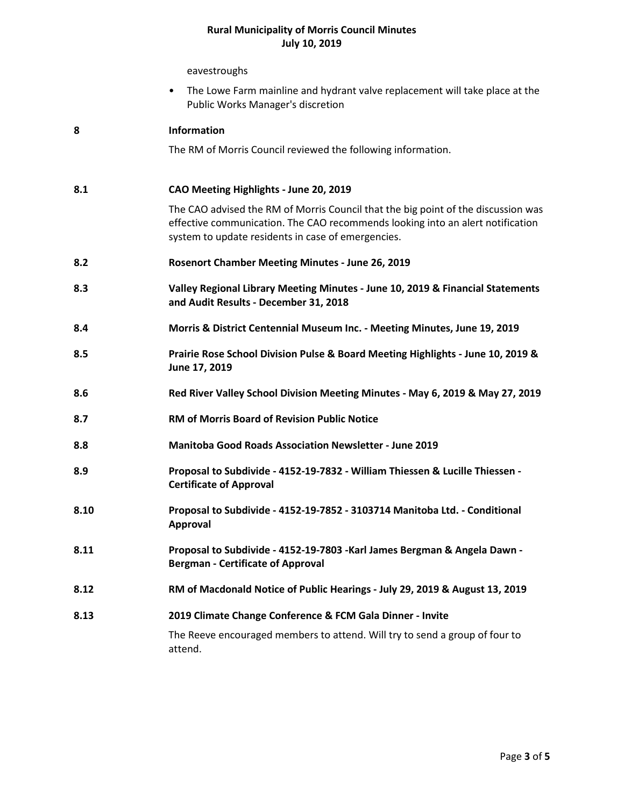eavestroughs

• The Lowe Farm mainline and hydrant valve replacement will take place at the Public Works Manager's discretion

| 8    | Information                                                                                                                                                                                                               |  |  |
|------|---------------------------------------------------------------------------------------------------------------------------------------------------------------------------------------------------------------------------|--|--|
|      | The RM of Morris Council reviewed the following information.                                                                                                                                                              |  |  |
| 8.1  | CAO Meeting Highlights - June 20, 2019                                                                                                                                                                                    |  |  |
|      | The CAO advised the RM of Morris Council that the big point of the discussion was<br>effective communication. The CAO recommends looking into an alert notification<br>system to update residents in case of emergencies. |  |  |
| 8.2  | Rosenort Chamber Meeting Minutes - June 26, 2019                                                                                                                                                                          |  |  |
| 8.3  | Valley Regional Library Meeting Minutes - June 10, 2019 & Financial Statements<br>and Audit Results - December 31, 2018                                                                                                   |  |  |
| 8.4  | Morris & District Centennial Museum Inc. - Meeting Minutes, June 19, 2019                                                                                                                                                 |  |  |
| 8.5  | Prairie Rose School Division Pulse & Board Meeting Highlights - June 10, 2019 &<br>June 17, 2019                                                                                                                          |  |  |
| 8.6  | Red River Valley School Division Meeting Minutes - May 6, 2019 & May 27, 2019                                                                                                                                             |  |  |
| 8.7  | <b>RM of Morris Board of Revision Public Notice</b>                                                                                                                                                                       |  |  |
| 8.8  | <b>Manitoba Good Roads Association Newsletter - June 2019</b>                                                                                                                                                             |  |  |
| 8.9  | Proposal to Subdivide - 4152-19-7832 - William Thiessen & Lucille Thiessen -<br><b>Certificate of Approval</b>                                                                                                            |  |  |
| 8.10 | Proposal to Subdivide - 4152-19-7852 - 3103714 Manitoba Ltd. - Conditional<br>Approval                                                                                                                                    |  |  |
| 8.11 | Proposal to Subdivide - 4152-19-7803 -Karl James Bergman & Angela Dawn -<br><b>Bergman - Certificate of Approval</b>                                                                                                      |  |  |
| 8.12 | RM of Macdonald Notice of Public Hearings - July 29, 2019 & August 13, 2019                                                                                                                                               |  |  |
| 8.13 | 2019 Climate Change Conference & FCM Gala Dinner - Invite                                                                                                                                                                 |  |  |
|      | The Reeve encouraged members to attend. Will try to send a group of four to<br>attend.                                                                                                                                    |  |  |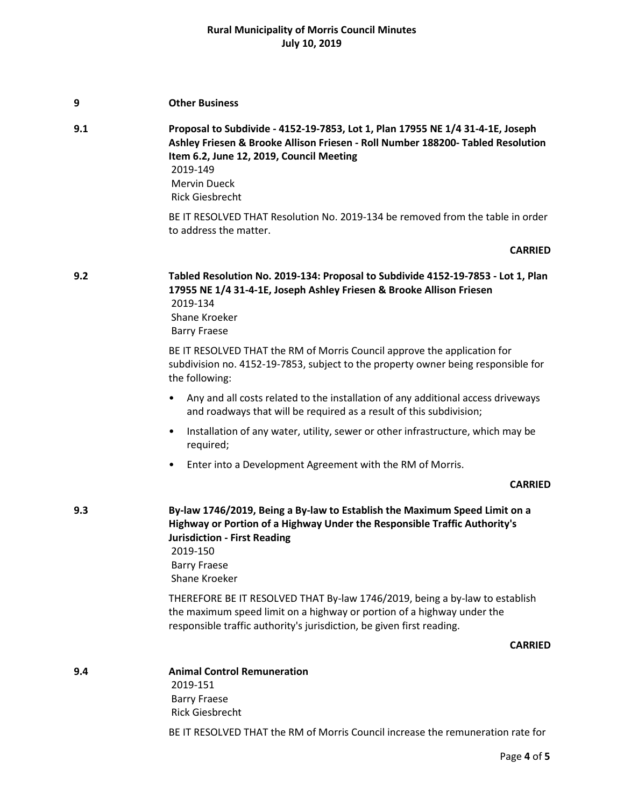| 9   | <b>Other Business</b>                                                                                                                                                                                                                                                      |  |
|-----|----------------------------------------------------------------------------------------------------------------------------------------------------------------------------------------------------------------------------------------------------------------------------|--|
| 9.1 | Proposal to Subdivide - 4152-19-7853, Lot 1, Plan 17955 NE 1/4 31-4-1E, Joseph<br>Ashley Friesen & Brooke Allison Friesen - Roll Number 188200- Tabled Resolution<br>Item 6.2, June 12, 2019, Council Meeting<br>2019-149<br><b>Mervin Dueck</b><br><b>Rick Giesbrecht</b> |  |
|     | BE IT RESOLVED THAT Resolution No. 2019-134 be removed from the table in order<br>to address the matter.                                                                                                                                                                   |  |
|     | <b>CARRIED</b>                                                                                                                                                                                                                                                             |  |
| 9.2 | Tabled Resolution No. 2019-134: Proposal to Subdivide 4152-19-7853 - Lot 1, Plan<br>17955 NE 1/4 31-4-1E, Joseph Ashley Friesen & Brooke Allison Friesen<br>2019-134<br>Shane Kroeker<br><b>Barry Fraese</b>                                                               |  |
|     | BE IT RESOLVED THAT the RM of Morris Council approve the application for<br>subdivision no. 4152-19-7853, subject to the property owner being responsible for<br>the following:                                                                                            |  |
|     | Any and all costs related to the installation of any additional access driveways<br>$\bullet$<br>and roadways that will be required as a result of this subdivision;                                                                                                       |  |
|     | Installation of any water, utility, sewer or other infrastructure, which may be<br>$\bullet$<br>required;                                                                                                                                                                  |  |
|     | Enter into a Development Agreement with the RM of Morris.<br>$\bullet$                                                                                                                                                                                                     |  |
|     | <b>CARRIED</b>                                                                                                                                                                                                                                                             |  |
| 9.3 | By-law 1746/2019, Being a By-law to Establish the Maximum Speed Limit on a<br>Highway or Portion of a Highway Under the Responsible Traffic Authority's<br><b>Jurisdiction - First Reading</b><br>2019-150<br><b>Barry Fraese</b><br>Shane Kroeker                         |  |
|     | THEREFORE BE IT RESOLVED THAT By-law 1746/2019, being a by-law to establish<br>the maximum speed limit on a highway or portion of a highway under the<br>responsible traffic authority's jurisdiction, be given first reading.                                             |  |
|     | <b>CARRIED</b>                                                                                                                                                                                                                                                             |  |
| 9.4 | <b>Animal Control Remuneration</b><br>2019-151<br><b>Barry Fraese</b><br><b>Rick Giesbrecht</b>                                                                                                                                                                            |  |
|     | BE IT RESOLVED THAT the RM of Morris Council increase the remuneration rate for                                                                                                                                                                                            |  |